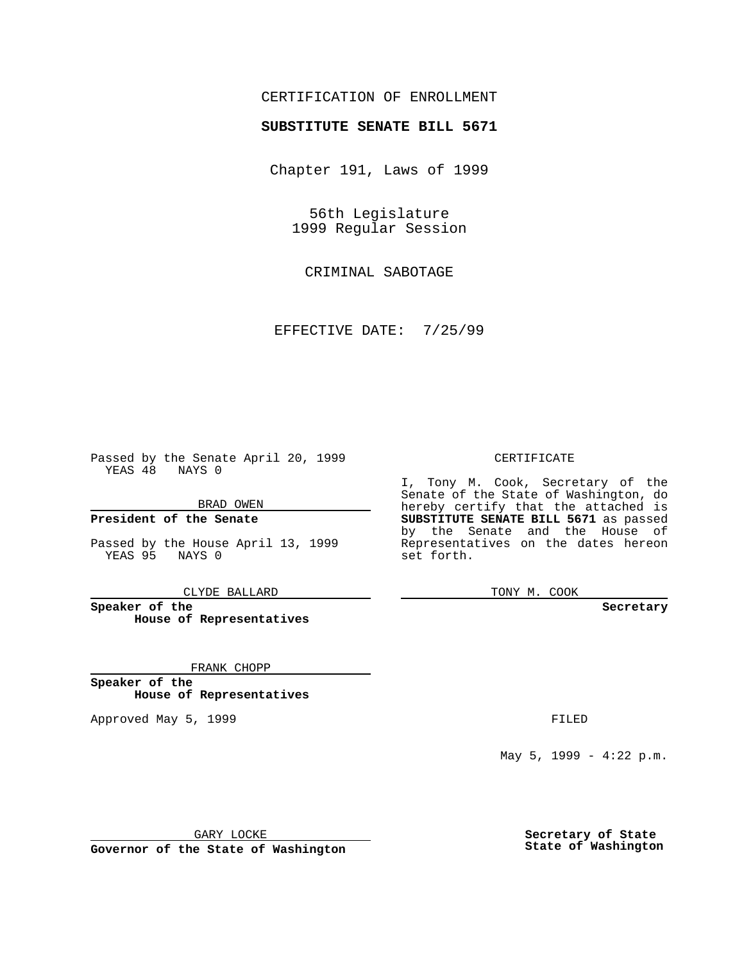## CERTIFICATION OF ENROLLMENT

# **SUBSTITUTE SENATE BILL 5671**

Chapter 191, Laws of 1999

56th Legislature 1999 Regular Session

CRIMINAL SABOTAGE

EFFECTIVE DATE: 7/25/99

Passed by the Senate April 20, 1999 YEAS 48 NAYS 0

BRAD OWEN

**President of the Senate**

Passed by the House April 13, 1999 YEAS 95 NAYS 0

CLYDE BALLARD

**Speaker of the House of Representatives**

FRANK CHOPP

**Speaker of the House of Representatives**

Approved May 5, 1999 **FILED** 

### CERTIFICATE

I, Tony M. Cook, Secretary of the Senate of the State of Washington, do hereby certify that the attached is **SUBSTITUTE SENATE BILL 5671** as passed by the Senate and the House of Representatives on the dates hereon set forth.

TONY M. COOK

#### **Secretary**

May 5, 1999 - 4:22 p.m.

GARY LOCKE

**Governor of the State of Washington**

**Secretary of State State of Washington**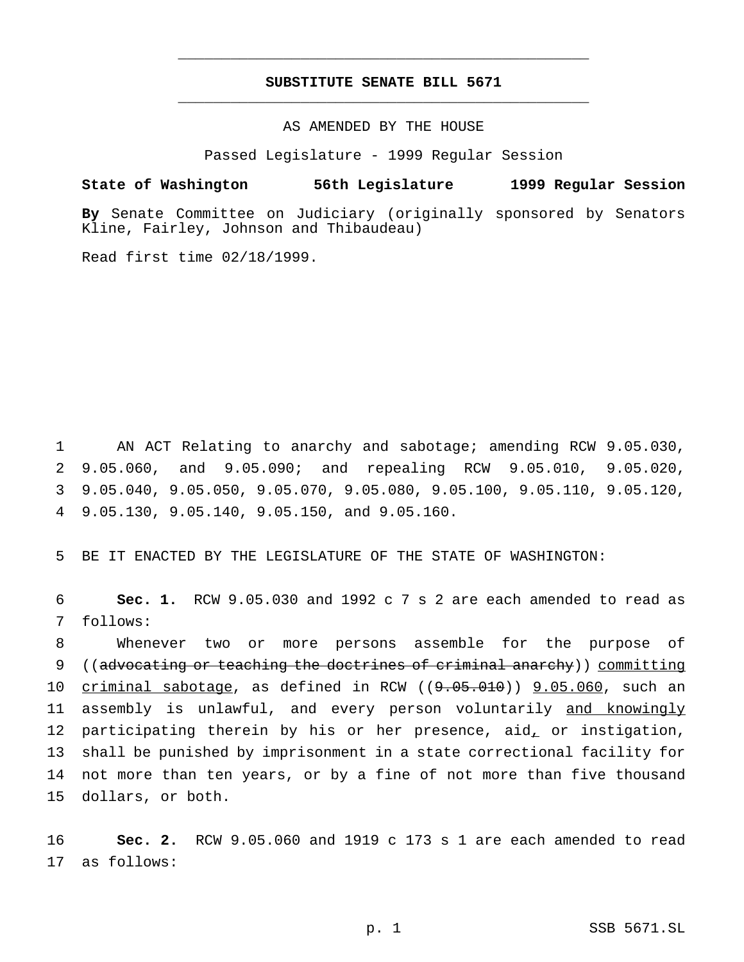# **SUBSTITUTE SENATE BILL 5671** \_\_\_\_\_\_\_\_\_\_\_\_\_\_\_\_\_\_\_\_\_\_\_\_\_\_\_\_\_\_\_\_\_\_\_\_\_\_\_\_\_\_\_\_\_\_\_

\_\_\_\_\_\_\_\_\_\_\_\_\_\_\_\_\_\_\_\_\_\_\_\_\_\_\_\_\_\_\_\_\_\_\_\_\_\_\_\_\_\_\_\_\_\_\_

AS AMENDED BY THE HOUSE

Passed Legislature - 1999 Regular Session

### **State of Washington 56th Legislature 1999 Regular Session**

**By** Senate Committee on Judiciary (originally sponsored by Senators Kline, Fairley, Johnson and Thibaudeau)

Read first time 02/18/1999.

 AN ACT Relating to anarchy and sabotage; amending RCW 9.05.030, 9.05.060, and 9.05.090; and repealing RCW 9.05.010, 9.05.020, 9.05.040, 9.05.050, 9.05.070, 9.05.080, 9.05.100, 9.05.110, 9.05.120, 9.05.130, 9.05.140, 9.05.150, and 9.05.160.

5 BE IT ENACTED BY THE LEGISLATURE OF THE STATE OF WASHINGTON:

6 **Sec. 1.** RCW 9.05.030 and 1992 c 7 s 2 are each amended to read as 7 follows:

 Whenever two or more persons assemble for the purpose of ((advocating or teaching the doctrines of criminal anarchy)) committing  $c$ riminal sabotage, as defined in RCW  $((9.05.010))$   $(9.05.060)$ , such an 11 assembly is unlawful, and every person voluntarily and knowingly 12 participating therein by his or her presence, aid, or instigation, shall be punished by imprisonment in a state correctional facility for not more than ten years, or by a fine of not more than five thousand dollars, or both.

16 **Sec. 2.** RCW 9.05.060 and 1919 c 173 s 1 are each amended to read 17 as follows: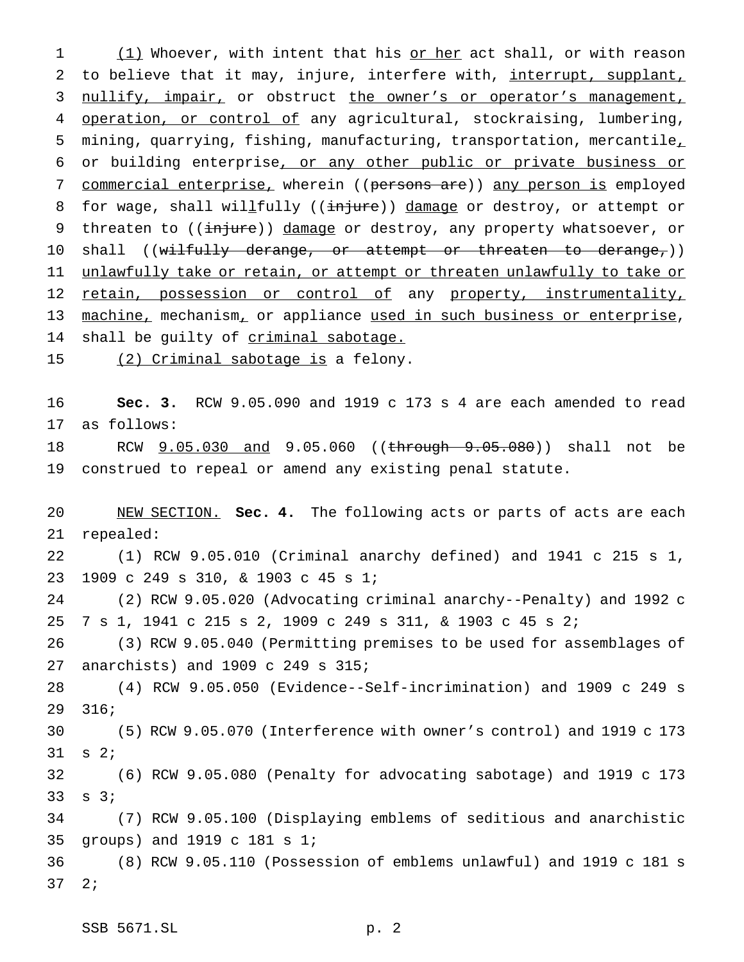1 (1) Whoever, with intent that his or her act shall, or with reason 2 to believe that it may, injure, interfere with, interrupt, supplant, 3 nullify, impair, or obstruct the owner's or operator's management, 4 operation, or control of any agricultural, stockraising, lumbering, mining, quarrying, fishing, manufacturing, transportation, mercantile, or building enterprise, or any other public or private business or 7 commercial enterprise, wherein ((persons are)) any person is employed 8 for wage, shall willfully ((injure)) damage or destroy, or attempt or 9 threaten to ((injure)) damage or destroy, any property whatsoever, or 10 shall ((wilfully derange, or attempt or threaten to derange,)) 11 unlawfully take or retain, or attempt or threaten unlawfully to take or 12 retain, possession or control of any property, instrumentality, 13 machine, mechanism, or appliance used in such business or enterprise, 14 shall be guilty of criminal sabotage.

15 (2) Criminal sabotage is a felony.

 **Sec. 3.** RCW 9.05.090 and 1919 c 173 s 4 are each amended to read as follows:

18 RCW  $9.05.030$  and 9.05.060 ((through 9.05.080)) shall not be construed to repeal or amend any existing penal statute.

 NEW SECTION. **Sec. 4.** The following acts or parts of acts are each repealed:

 (1) RCW 9.05.010 (Criminal anarchy defined) and 1941 c 215 s 1, 1909 c 249 s 310, & 1903 c 45 s 1;

 (2) RCW 9.05.020 (Advocating criminal anarchy--Penalty) and 1992 c 7 s 1, 1941 c 215 s 2, 1909 c 249 s 311, & 1903 c 45 s 2;

 (3) RCW 9.05.040 (Permitting premises to be used for assemblages of anarchists) and 1909 c 249 s 315;

 (4) RCW 9.05.050 (Evidence--Self-incrimination) and 1909 c 249 s 316;

 (5) RCW 9.05.070 (Interference with owner's control) and 1919 c 173 s 2;

 (6) RCW 9.05.080 (Penalty for advocating sabotage) and 1919 c 173 s 3;

 (7) RCW 9.05.100 (Displaying emblems of seditious and anarchistic groups) and 1919 c 181 s 1;

 (8) RCW 9.05.110 (Possession of emblems unlawful) and 1919 c 181 s 2;